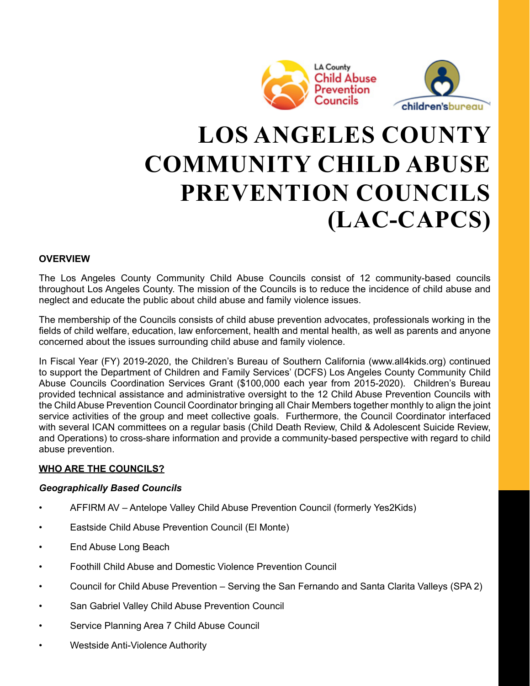



# **LOS ANGELES COUNTY COMMUNITY CHILD ABUSE PREVENTION COUNCILS (LAC-CAPCS)**

# **OVERVIEW**

The Los Angeles County Community Child Abuse Councils consist of 12 community-based councils throughout Los Angeles County. The mission of the Councils is to reduce the incidence of child abuse and neglect and educate the public about child abuse and family violence issues.

The membership of the Councils consists of child abuse prevention advocates, professionals working in the fields of child welfare, education, law enforcement, health and mental health, as well as parents and anyone concerned about the issues surrounding child abuse and family violence.

In Fiscal Year (FY) 2019-2020, the Children's Bureau of Southern California (www.all4kids.org) continued to support the Department of Children and Family Services' (DCFS) Los Angeles County Community Child Abuse Councils Coordination Services Grant (\$100,000 each year from 2015-2020). Children's Bureau provided technical assistance and administrative oversight to the 12 Child Abuse Prevention Councils with the Child Abuse Prevention Council Coordinator bringing all Chair Members together monthly to align the joint service activities of the group and meet collective goals. Furthermore, the Council Coordinator interfaced with several ICAN committees on a regular basis (Child Death Review, Child & Adolescent Suicide Review, and Operations) to cross-share information and provide a community-based perspective with regard to child abuse prevention.

#### **WHO ARE THE COUNCILS?**

#### *Geographically Based Councils*

- AFFIRM AV Antelope Valley Child Abuse Prevention Council (formerly Yes2Kids)
- Eastside Child Abuse Prevention Council (El Monte)
- End Abuse Long Beach
- Foothill Child Abuse and Domestic Violence Prevention Council
- Council for Child Abuse Prevention Serving the San Fernando and Santa Clarita Valleys (SPA 2)
- San Gabriel Valley Child Abuse Prevention Council
- Service Planning Area 7 Child Abuse Council
- Westside Anti-Violence Authority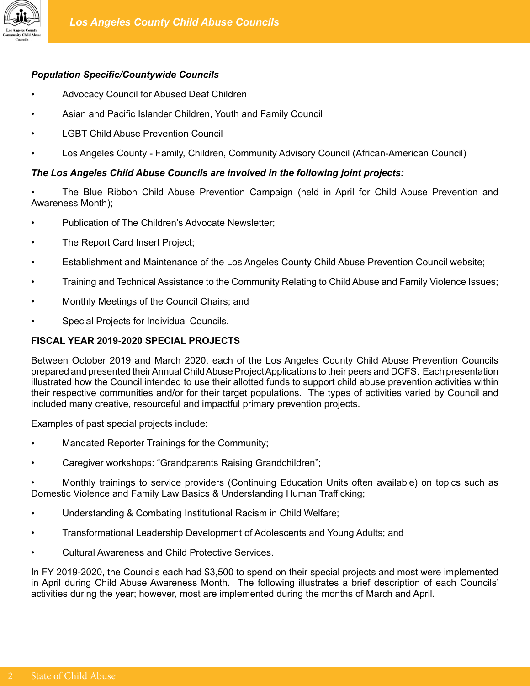

# *Population Specific/Countywide Councils*

- Advocacy Council for Abused Deaf Children
- Asian and Pacific Islander Children, Youth and Family Council
- **LGBT Child Abuse Prevention Council**
- Los Angeles County Family, Children, Community Advisory Council (African-American Council)

# *The Los Angeles Child Abuse Councils are involved in the following joint projects:*

• The Blue Ribbon Child Abuse Prevention Campaign (held in April for Child Abuse Prevention and Awareness Month);

- Publication of The Children's Advocate Newsletter;
- The Report Card Insert Project;
- Establishment and Maintenance of the Los Angeles County Child Abuse Prevention Council website;
- Training and Technical Assistance to the Community Relating to Child Abuse and Family Violence Issues;
- Monthly Meetings of the Council Chairs; and
- Special Projects for Individual Councils.

# **FISCAL YEAR 2019-2020 SPECIAL PROJECTS**

Between October 2019 and March 2020, each of the Los Angeles County Child Abuse Prevention Councils prepared and presented their Annual Child Abuse Project Applications to their peers and DCFS. Each presentation illustrated how the Council intended to use their allotted funds to support child abuse prevention activities within their respective communities and/or for their target populations. The types of activities varied by Council and included many creative, resourceful and impactful primary prevention projects.

Examples of past special projects include:

- Mandated Reporter Trainings for the Community;
- Caregiver workshops: "Grandparents Raising Grandchildren";

• Monthly trainings to service providers (Continuing Education Units often available) on topics such as Domestic Violence and Family Law Basics & Understanding Human Trafficking;

- Understanding & Combating Institutional Racism in Child Welfare;
- Transformational Leadership Development of Adolescents and Young Adults; and
- Cultural Awareness and Child Protective Services.

In FY 2019-2020, the Councils each had \$3,500 to spend on their special projects and most were implemented in April during Child Abuse Awareness Month. The following illustrates a brief description of each Councils' activities during the year; however, most are implemented during the months of March and April.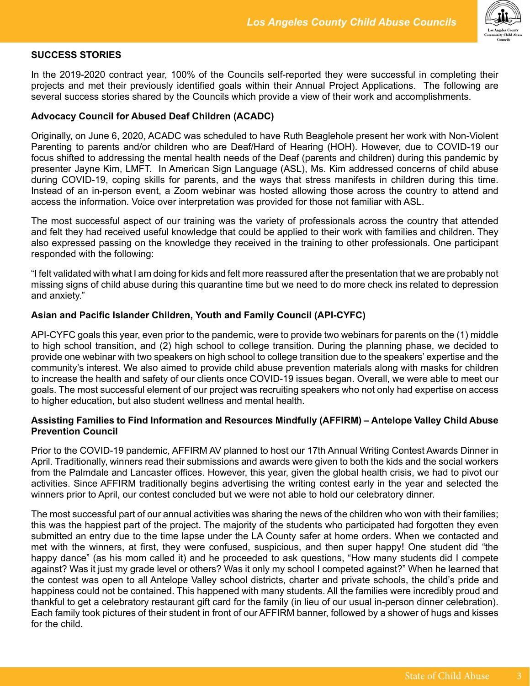

# **SUCCESS STORIES**

In the 2019-2020 contract year, 100% of the Councils self-reported they were successful in completing their projects and met their previously identified goals within their Annual Project Applications. The following are several success stories shared by the Councils which provide a view of their work and accomplishments.

#### **Advocacy Council for Abused Deaf Children (ACADC)**

Originally, on June 6, 2020, ACADC was scheduled to have Ruth Beaglehole present her work with Non-Violent Parenting to parents and/or children who are Deaf/Hard of Hearing (HOH). However, due to COVID-19 our focus shifted to addressing the mental health needs of the Deaf (parents and children) during this pandemic by presenter Jayne Kim, LMFT. In American Sign Language (ASL), Ms. Kim addressed concerns of child abuse during COVID-19, coping skills for parents, and the ways that stress manifests in children during this time. Instead of an in-person event, a Zoom webinar was hosted allowing those across the country to attend and access the information. Voice over interpretation was provided for those not familiar with ASL.

The most successful aspect of our training was the variety of professionals across the country that attended and felt they had received useful knowledge that could be applied to their work with families and children. They also expressed passing on the knowledge they received in the training to other professionals. One participant responded with the following:

"I felt validated with what I am doing for kids and felt more reassured after the presentation that we are probably not missing signs of child abuse during this quarantine time but we need to do more check ins related to depression and anxiety."

#### **Asian and Pacific Islander Children, Youth and Family Council (API-CYFC)**

API-CYFC goals this year, even prior to the pandemic, were to provide two webinars for parents on the (1) middle to high school transition, and (2) high school to college transition. During the planning phase, we decided to provide one webinar with two speakers on high school to college transition due to the speakers' expertise and the community's interest. We also aimed to provide child abuse prevention materials along with masks for children to increase the health and safety of our clients once COVID-19 issues began. Overall, we were able to meet our goals. The most successful element of our project was recruiting speakers who not only had expertise on access to higher education, but also student wellness and mental health.

#### **Assisting Families to Find Information and Resources Mindfully (AFFIRM) – Antelope Valley Child Abuse Prevention Council**

Prior to the COVID-19 pandemic, AFFIRM AV planned to host our 17th Annual Writing Contest Awards Dinner in April. Traditionally, winners read their submissions and awards were given to both the kids and the social workers from the Palmdale and Lancaster offices. However, this year, given the global health crisis, we had to pivot our activities. Since AFFIRM traditionally begins advertising the writing contest early in the year and selected the winners prior to April, our contest concluded but we were not able to hold our celebratory dinner.

The most successful part of our annual activities was sharing the news of the children who won with their families; this was the happiest part of the project. The majority of the students who participated had forgotten they even submitted an entry due to the time lapse under the LA County safer at home orders. When we contacted and met with the winners, at first, they were confused, suspicious, and then super happy! One student did "the happy dance" (as his mom called it) and he proceeded to ask questions, "How many students did I compete against? Was it just my grade level or others? Was it only my school I competed against?" When he learned that the contest was open to all Antelope Valley school districts, charter and private schools, the child's pride and happiness could not be contained. This happened with many students. All the families were incredibly proud and thankful to get a celebratory restaurant gift card for the family (in lieu of our usual in-person dinner celebration). Each family took pictures of their student in front of our AFFIRM banner, followed by a shower of hugs and kisses for the child.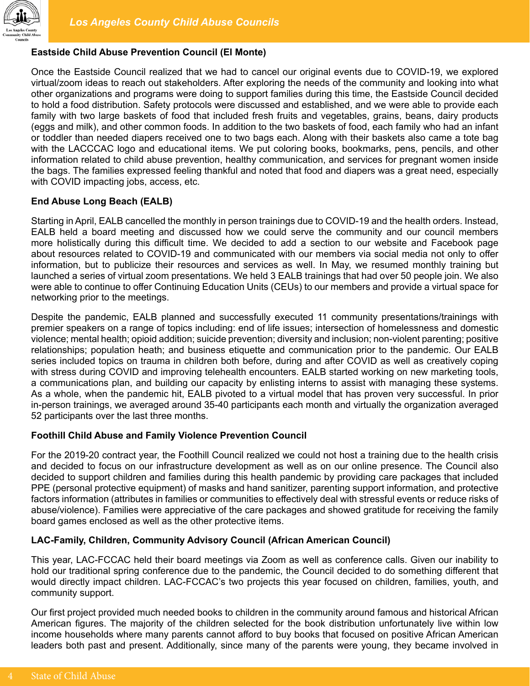

# **Eastside Child Abuse Prevention Council (El Monte)**

Once the Eastside Council realized that we had to cancel our original events due to COVID-19, we explored virtual/zoom ideas to reach out stakeholders. After exploring the needs of the community and looking into what other organizations and programs were doing to support families during this time, the Eastside Council decided to hold a food distribution. Safety protocols were discussed and established, and we were able to provide each family with two large baskets of food that included fresh fruits and vegetables, grains, beans, dairy products (eggs and milk), and other common foods. In addition to the two baskets of food, each family who had an infant or toddler than needed diapers received one to two bags each. Along with their baskets also came a tote bag with the LACCCAC logo and educational items. We put coloring books, bookmarks, pens, pencils, and other information related to child abuse prevention, healthy communication, and services for pregnant women inside the bags. The families expressed feeling thankful and noted that food and diapers was a great need, especially with COVID impacting jobs, access, etc.

#### **End Abuse Long Beach (EALB)**

Starting in April, EALB cancelled the monthly in person trainings due to COVID-19 and the health orders. Instead, EALB held a board meeting and discussed how we could serve the community and our council members more holistically during this difficult time. We decided to add a section to our website and Facebook page about resources related to COVID-19 and communicated with our members via social media not only to offer information, but to publicize their resources and services as well. In May, we resumed monthly training but launched a series of virtual zoom presentations. We held 3 EALB trainings that had over 50 people join. We also were able to continue to offer Continuing Education Units (CEUs) to our members and provide a virtual space for networking prior to the meetings.

Despite the pandemic, EALB planned and successfully executed 11 community presentations/trainings with premier speakers on a range of topics including: end of life issues; intersection of homelessness and domestic violence; mental health; opioid addition; suicide prevention; diversity and inclusion; non-violent parenting; positive relationships; population heath; and business etiquette and communication prior to the pandemic. Our EALB series included topics on trauma in children both before, during and after COVID as well as creatively coping with stress during COVID and improving telehealth encounters. EALB started working on new marketing tools, a communications plan, and building our capacity by enlisting interns to assist with managing these systems. As a whole, when the pandemic hit, EALB pivoted to a virtual model that has proven very successful. In prior in-person trainings, we averaged around 35-40 participants each month and virtually the organization averaged 52 participants over the last three months.

#### **Foothill Child Abuse and Family Violence Prevention Council**

For the 2019-20 contract year, the Foothill Council realized we could not host a training due to the health crisis and decided to focus on our infrastructure development as well as on our online presence. The Council also decided to support children and families during this health pandemic by providing care packages that included PPE (personal protective equipment) of masks and hand sanitizer, parenting support information, and protective factors information (attributes in families or communities to effectively deal with stressful events or reduce risks of abuse/violence). Families were appreciative of the care packages and showed gratitude for receiving the family board games enclosed as well as the other protective items.

#### **LAC-Family, Children, Community Advisory Council (African American Council)**

This year, LAC-FCCAC held their board meetings via Zoom as well as conference calls. Given our inability to hold our traditional spring conference due to the pandemic, the Council decided to do something different that would directly impact children. LAC-FCCAC's two projects this year focused on children, families, youth, and community support.

Our first project provided much needed books to children in the community around famous and historical African American figures. The majority of the children selected for the book distribution unfortunately live within low income households where many parents cannot afford to buy books that focused on positive African American leaders both past and present. Additionally, since many of the parents were young, they became involved in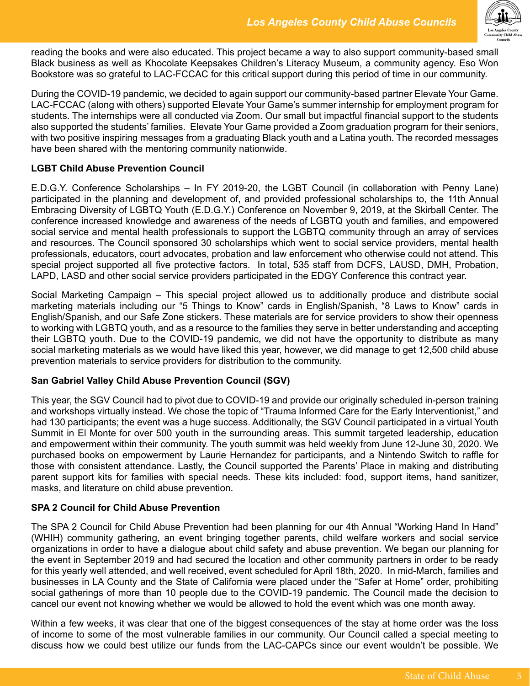

reading the books and were also educated. This project became a way to also support community-based small Black business as well as Khocolate Keepsakes Children's Literacy Museum, a community agency. Eso Won Bookstore was so grateful to LAC-FCCAC for this critical support during this period of time in our community.

During the COVID-19 pandemic, we decided to again support our community-based partner Elevate Your Game. LAC-FCCAC (along with others) supported Elevate Your Game's summer internship for employment program for students. The internships were all conducted via Zoom. Our small but impactful financial support to the students also supported the students' families. Elevate Your Game provided a Zoom graduation program for their seniors, with two positive inspiring messages from a graduating Black youth and a Latina youth. The recorded messages have been shared with the mentoring community nationwide.

### **LGBT Child Abuse Prevention Council**

E.D.G.Y. Conference Scholarships – In FY 2019-20, the LGBT Council (in collaboration with Penny Lane) participated in the planning and development of, and provided professional scholarships to, the 11th Annual Embracing Diversity of LGBTQ Youth (E.D.G.Y.) Conference on November 9, 2019, at the Skirball Center. The conference increased knowledge and awareness of the needs of LGBTQ youth and families, and empowered social service and mental health professionals to support the LGBTQ community through an array of services and resources. The Council sponsored 30 scholarships which went to social service providers, mental health professionals, educators, court advocates, probation and law enforcement who otherwise could not attend. This special project supported all five protective factors. In total, 535 staff from DCFS, LAUSD, DMH, Probation, LAPD, LASD and other social service providers participated in the EDGY Conference this contract year.

Social Marketing Campaign – This special project allowed us to additionally produce and distribute social marketing materials including our "5 Things to Know" cards in English/Spanish, "8 Laws to Know" cards in English/Spanish, and our Safe Zone stickers. These materials are for service providers to show their openness to working with LGBTQ youth, and as a resource to the families they serve in better understanding and accepting their LGBTQ youth. Due to the COVID-19 pandemic, we did not have the opportunity to distribute as many social marketing materials as we would have liked this year, however, we did manage to get 12,500 child abuse prevention materials to service providers for distribution to the community.

#### **San Gabriel Valley Child Abuse Prevention Council (SGV)**

This year, the SGV Council had to pivot due to COVID-19 and provide our originally scheduled in-person training and workshops virtually instead. We chose the topic of "Trauma Informed Care for the Early Interventionist," and had 130 participants; the event was a huge success. Additionally, the SGV Council participated in a virtual Youth Summit in El Monte for over 500 youth in the surrounding areas. This summit targeted leadership, education and empowerment within their community. The youth summit was held weekly from June 12-June 30, 2020. We purchased books on empowerment by Laurie Hernandez for participants, and a Nintendo Switch to raffle for those with consistent attendance. Lastly, the Council supported the Parents' Place in making and distributing parent support kits for families with special needs. These kits included: food, support items, hand sanitizer, masks, and literature on child abuse prevention.

#### **SPA 2 Council for Child Abuse Prevention**

The SPA 2 Council for Child Abuse Prevention had been planning for our 4th Annual "Working Hand In Hand" (WHIH) community gathering, an event bringing together parents, child welfare workers and social service organizations in order to have a dialogue about child safety and abuse prevention. We began our planning for the event in September 2019 and had secured the location and other community partners in order to be ready for this yearly well attended, and well received, event scheduled for April 18th, 2020. In mid-March, families and businesses in LA County and the State of California were placed under the "Safer at Home" order, prohibiting social gatherings of more than 10 people due to the COVID-19 pandemic. The Council made the decision to cancel our event not knowing whether we would be allowed to hold the event which was one month away.

Within a few weeks, it was clear that one of the biggest consequences of the stay at home order was the loss of income to some of the most vulnerable families in our community. Our Council called a special meeting to discuss how we could best utilize our funds from the LAC-CAPCs since our event wouldn't be possible. We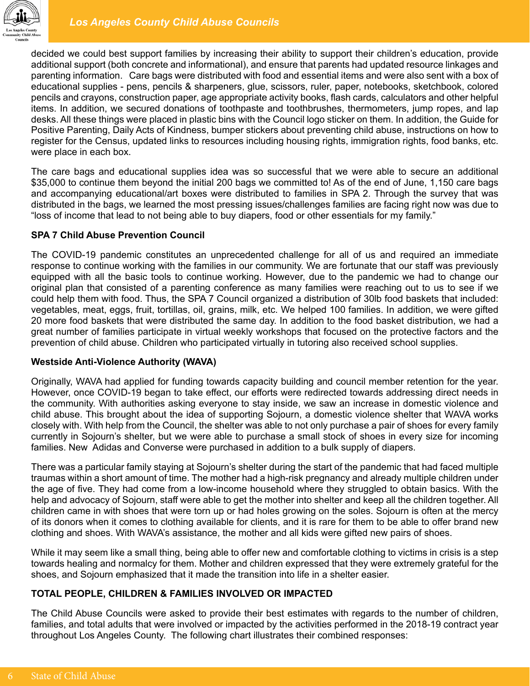

decided we could best support families by increasing their ability to support their children's education, provide additional support (both concrete and informational), and ensure that parents had updated resource linkages and parenting information. Care bags were distributed with food and essential items and were also sent with a box of educational supplies - pens, pencils & sharpeners, glue, scissors, ruler, paper, notebooks, sketchbook, colored pencils and crayons, construction paper, age appropriate activity books, flash cards, calculators and other helpful items. In addition, we secured donations of toothpaste and toothbrushes, thermometers, jump ropes, and lap desks. All these things were placed in plastic bins with the Council logo sticker on them. In addition, the Guide for Positive Parenting, Daily Acts of Kindness, bumper stickers about preventing child abuse, instructions on how to register for the Census, updated links to resources including housing rights, immigration rights, food banks, etc. were place in each box.

The care bags and educational supplies idea was so successful that we were able to secure an additional \$35,000 to continue them beyond the initial 200 bags we committed to! As of the end of June, 1,150 care bags and accompanying educational/art boxes were distributed to families in SPA 2. Through the survey that was distributed in the bags, we learned the most pressing issues/challenges families are facing right now was due to "loss of income that lead to not being able to buy diapers, food or other essentials for my family."

# **SPA 7 Child Abuse Prevention Council**

The COVID-19 pandemic constitutes an unprecedented challenge for all of us and required an immediate response to continue working with the families in our community. We are fortunate that our staff was previously equipped with all the basic tools to continue working. However, due to the pandemic we had to change our original plan that consisted of a parenting conference as many families were reaching out to us to see if we could help them with food. Thus, the SPA 7 Council organized a distribution of 30lb food baskets that included: vegetables, meat, eggs, fruit, tortillas, oil, grains, milk, etc. We helped 100 families. In addition, we were gifted 20 more food baskets that were distributed the same day. In addition to the food basket distribution, we had a great number of families participate in virtual weekly workshops that focused on the protective factors and the prevention of child abuse. Children who participated virtually in tutoring also received school supplies.

#### **Westside Anti-Violence Authority (WAVA)**

Originally, WAVA had applied for funding towards capacity building and council member retention for the year. However, once COVID-19 began to take effect, our efforts were redirected towards addressing direct needs in the community. With authorities asking everyone to stay inside, we saw an increase in domestic violence and child abuse. This brought about the idea of supporting Sojourn, a domestic violence shelter that WAVA works closely with. With help from the Council, the shelter was able to not only purchase a pair of shoes for every family currently in Sojourn's shelter, but we were able to purchase a small stock of shoes in every size for incoming families. New Adidas and Converse were purchased in addition to a bulk supply of diapers.

There was a particular family staying at Sojourn's shelter during the start of the pandemic that had faced multiple traumas within a short amount of time. The mother had a high-risk pregnancy and already multiple children under the age of five. They had come from a low-income household where they struggled to obtain basics. With the help and advocacy of Sojourn, staff were able to get the mother into shelter and keep all the children together. All children came in with shoes that were torn up or had holes growing on the soles. Sojourn is often at the mercy of its donors when it comes to clothing available for clients, and it is rare for them to be able to offer brand new clothing and shoes. With WAVA's assistance, the mother and all kids were gifted new pairs of shoes.

While it may seem like a small thing, being able to offer new and comfortable clothing to victims in crisis is a step towards healing and normalcy for them. Mother and children expressed that they were extremely grateful for the shoes, and Sojourn emphasized that it made the transition into life in a shelter easier.

# **TOTAL PEOPLE, CHILDREN & FAMILIES INVOLVED OR IMPACTED**

The Child Abuse Councils were asked to provide their best estimates with regards to the number of children, families, and total adults that were involved or impacted by the activities performed in the 2018-19 contract year throughout Los Angeles County. The following chart illustrates their combined responses: